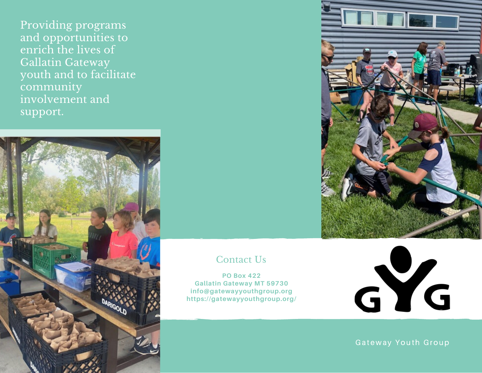Providing programs and opportunities to enrich the lives of Gallatin Gateway youth and to facilitate community involvement and support.





#### Contact Us

**PO Box 422 Gallatin Gateway MT 59730 info@gatewayyouthgroup.org https://gatewayyouthgroup.org/**



Gateway Youth Group